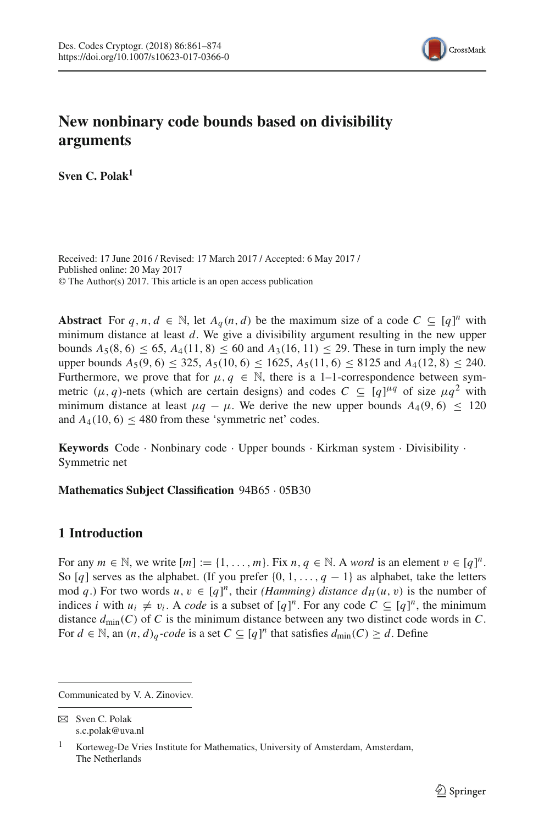

# **New nonbinary code bounds based on divisibility arguments**

**Sven C. Polak1**

Received: 17 June 2016 / Revised: 17 March 2017 / Accepted: 6 May 2017 / Published online: 20 May 2017 © The Author(s) 2017. This article is an open access publication

Abstract For  $q, n, d \in \mathbb{N}$ , let  $A_q(n, d)$  be the maximum size of a code  $C \subseteq [q]^n$  with minimum distance at least *d*. We give a divisibility argument resulting in the new upper bounds  $A_5(8, 6)$  ≤ 65,  $A_4(11, 8)$  ≤ 60 and  $A_3(16, 11)$  ≤ 29. These in turn imply the new upper bounds  $A_5(9, 6) \le 325$ ,  $A_5(10, 6) \le 1625$ ,  $A_5(11, 6) \le 8125$  and  $A_4(12, 8) \le 240$ . Furthermore, we prove that for  $\mu, q \in \mathbb{N}$ , there is a 1-1-correspondence between symmetric  $(\mu, q)$ -nets (which are certain designs) and codes  $C \subseteq [q]^{\mu q}$  of size  $\mu q^2$  with minimum distance at least  $\mu q - \mu$ . We derive the new upper bounds  $A_4(9, 6) < 120$ and  $A_4(10, 6)$  < 480 from these 'symmetric net' codes.

**Keywords** Code · Nonbinary code · Upper bounds · Kirkman system · Divisibility · Symmetric net

**Mathematics Subject Classification** 94B65 · 05B30

# **1 Introduction**

For any  $m \in \mathbb{N}$ , we write  $[m] := \{1, \ldots, m\}$ . Fix  $n, q \in \mathbb{N}$ . A *word* is an element  $v \in [q]^n$ . So [q] serves as the alphabet. (If you prefer  $\{0, 1, \ldots, q - 1\}$  as alphabet, take the letters mod *q*.) For two words  $u, v \in [q]^n$ , their *(Hamming) distance*  $d_H(u, v)$  is the number of indices *i* with  $u_i \neq v_i$ . A *code* is a subset of  $[q]^n$ . For any code  $C \subseteq [q]^n$ , the minimum distance *d*min(*C*) of *C* is the minimum distance between any two distinct code words in *C*. For  $d \in \mathbb{N}$ , an  $(n, d)$ <sub>q</sub>-code is a set  $C \subseteq [q]^n$  that satisfies  $d_{\text{min}}(C) \geq d$ . Define

Communicated by V. A. Zinoviev.

 $\boxtimes$  Sven C. Polak s.c.polak@uva.nl

<sup>1</sup> Korteweg-De Vries Institute for Mathematics, University of Amsterdam, Amsterdam, The Netherlands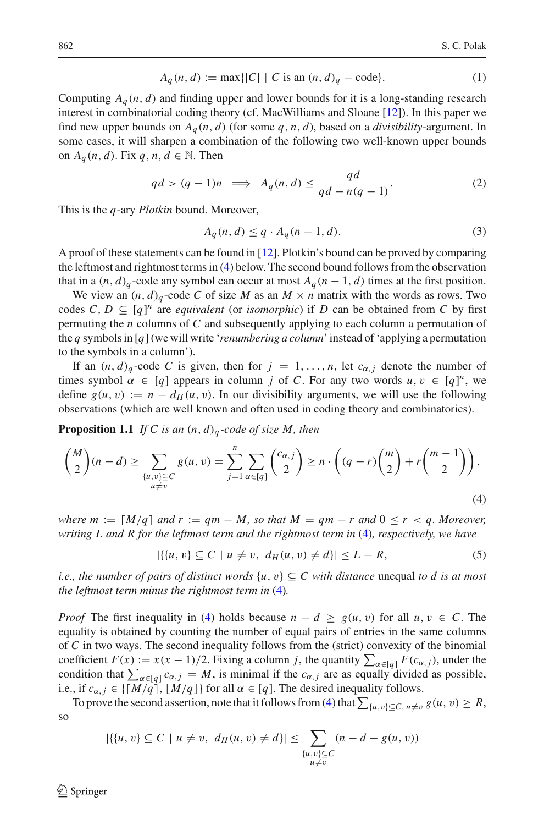$$
A_q(n, d) := \max\{|C| \mid C \text{ is an } (n, d)_q - \text{code}\}. \tag{1}
$$

Computing  $A_q(n, d)$  and finding upper and lower bounds for it is a long-standing research interest in combinatorial coding theory (cf. MacWilliams and Sloane [\[12\]](#page-13-0)). In this paper we find new upper bounds on  $A_q(n, d)$  (for some  $q, n, d$ ), based on a *divisibility*-argument. In some cases, it will sharpen a combination of the following two well-known upper bounds on  $A_q(n, d)$ . Fix  $q, n, d \in \mathbb{N}$ . Then

$$
qd > (q-1)n \implies A_q(n,d) \le \frac{qd}{qd - n(q-1)}.
$$
 (2)

This is the *q*-ary *Plotkin* bound. Moreover,

<span id="page-1-3"></span><span id="page-1-2"></span>
$$
A_q(n,d) \le q \cdot A_q(n-1,d). \tag{3}
$$

A proof of these statements can be found in [\[12\]](#page-13-0). Plotkin's bound can be proved by comparing the leftmost and rightmost terms in [\(4\)](#page-1-0) below. The second bound follows from the observation that in a  $(n, d)$ <sub>q</sub>-code any symbol can occur at most  $A_q$  ( $n-1$ , *d*) times at the first position.

We view an  $(n, d)$ <sub>q</sub>-code *C* of size *M* as an  $M \times n$  matrix with the words as rows. Two codes  $C, D \subseteq [q]^n$  are *equivalent* (or *isomorphic*) if *D* can be obtained from *C* by first permuting the *n* columns of *C* and subsequently applying to each column a permutation of the *q* symbols in [*q*](we will write '*renumbering a column*' instead of 'applying a permutation to the symbols in a column').

If an  $(n, d)$ <sub>q</sub>-code *C* is given, then for  $j = 1, \ldots, n$ , let  $c_{\alpha, j}$  denote the number of times symbol  $\alpha \in [q]$  appears in column *j* of *C*. For any two words  $u, v \in [q]^n$ , we define  $g(u, v) := n - d_H(u, v)$ . In our divisibility arguments, we will use the following observations (which are well known and often used in coding theory and combinatorics).

**Proposition 1.1** *If C is an* (*n*, *d*)*<sup>q</sup> -code of size M, then*

$$
\binom{M}{2}(n-d) \ge \sum_{\substack{\{u,v\} \subseteq C \\ u \neq v}} g(u,v) = \sum_{j=1}^n \sum_{\alpha \in [q]} \binom{c_{\alpha,j}}{2} \ge n \cdot \left( (q-r) \binom{m}{2} + r \binom{m-1}{2} \right),\tag{4}
$$

*where*  $m := \lceil M/q \rceil$  and  $r := qm - M$ , so that  $M = qm - r$  and  $0 \le r < q$ . Moreover, *writing L and R for the leftmost term and the rightmost term in* [\(4\)](#page-1-0)*, respectively, we have*

<span id="page-1-1"></span><span id="page-1-0"></span>
$$
|\{(u, v) \subseteq C \mid u \neq v, \ d_H(u, v) \neq d\}| \leq L - R,\tag{5}
$$

*i.e., the number of pairs of distinct words*  $\{u, v\} \subseteq C$  *with distance* unequal *to d is at most the leftmost term minus the rightmost term in* [\(4\)](#page-1-0)*.*

*Proof* The first inequality in [\(4\)](#page-1-0) holds because  $n - d \ge g(u, v)$  for all  $u, v \in C$ . The equality is obtained by counting the number of equal pairs of entries in the same columns of *C* in two ways. The second inequality follows from the (strict) convexity of the binomial coefficient  $F(x) := x(x - 1)/2$ . Fixing a column *j*, the quantity  $\sum_{\alpha \in [q]} F(c_{\alpha,j})$ , under the condition that  $\sum_{\alpha \in [q]} c_{\alpha,j} = M$ , is minimal if the  $c_{\alpha,j}$  are as equally divided as possible, i.e., if  $c_{\alpha,j} \in \{\lceil M/q \rceil, \lfloor M/q \rfloor\}$  for all  $\alpha \in [q]$ . The desired inequality follows.

To prove the second assertion, note that it follows from [\(4\)](#page-1-0) that  $\sum_{\{u,v\} \subseteq C, u \neq v} g(u, v) \geq R$ , so

$$
|\{(u, v) \subseteq C \mid u \neq v, d_H(u, v) \neq d\}| \leq \sum_{\substack{\{u, v\} \subseteq C \\ u \neq v}} (n - d - g(u, v))
$$

 $\mathcal{L}$  Springer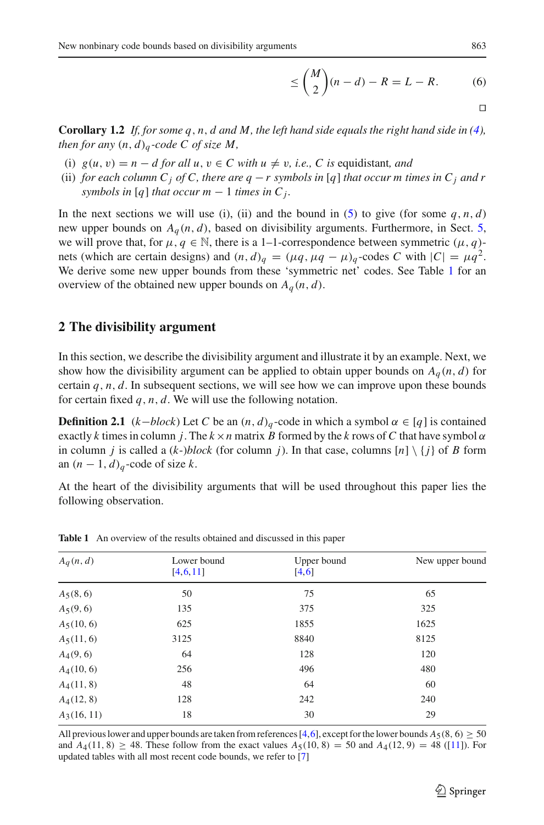$$
\leq \binom{M}{2}(n-d) - R = L - R. \tag{6}
$$

**Corollary 1.2** *If, for some q, n, d and M, the left hand side equals the right hand side in [\(4\)](#page-1-0), then for any*  $(n, d)$ <sup> $\alpha$ </sup>-code C of size M,

- (i)  $g(u, v) = n d$  *for all u, v*  $\in C$  *with u*  $\neq v$ *, i.e., C is equidistant, and*
- (ii) *for each column C<sub>i</sub> of C, there are q − r symbols in* [*q*] *that occur m times in C<sub>i</sub> and r symbols in* [*q*] *that occur m*  $-1$  *times in*  $C_j$ *.*

In the next sections we will use (i), (ii) and the bound in [\(5\)](#page-1-1) to give (for some  $q$ ,  $n$ ,  $d$ ) new upper bounds on  $A_q(n, d)$ , based on divisibility arguments. Furthermore, in Sect. [5,](#page-8-0) we will prove that, for  $\mu, q \in \mathbb{N}$ , there is a 1–1-correspondence between symmetric  $(\mu, q)$ nets (which are certain designs) and  $(n, d)$ <sub>*a*</sub> =  $(\mu q, \mu q - \mu)$ <sub>*a*</sub>-codes *C* with  $|C| = \mu q^2$ . We derive some new upper bounds from these 'symmetric net' codes. See Table [1](#page-2-0) for an overview of the obtained new upper bounds on  $A_q(n, d)$ .

# **2 The divisibility argument**

In this section, we describe the divisibility argument and illustrate it by an example. Next, we show how the divisibility argument can be applied to obtain upper bounds on  $A_q(n, d)$  for certain  $q$ ,  $n$ ,  $d$ . In subsequent sections, we will see how we can improve upon these bounds for certain fixed *q*, *n*, *d*. We will use the following notation.

**Definition 2.1** ( $k$ −*block*) Let *C* be an  $(n, d)$ <sub>*q*</sub> -code in which a symbol  $\alpha \in [q]$  is contained exactly *k* times in column *j*. The  $k \times n$  matrix *B* formed by the *k* rows of *C* that have symbol  $\alpha$ in column *j* is called a  $(k-)block$  (for column *j*). In that case, columns  $[n] \setminus \{j\}$  of *B* form an  $(n-1, d)$ <sub>*q*</sub>-code of size *k*.

<span id="page-2-1"></span>At the heart of the divisibility arguments that will be used throughout this paper lies the following observation.

<span id="page-2-0"></span>

| $A_q(n,d)$    | Lower bound | Upper bound | New upper bound |  |  |  |  |
|---------------|-------------|-------------|-----------------|--|--|--|--|
|               | [4, 6, 11]  | [4, 6]      |                 |  |  |  |  |
| $A_5(8, 6)$   | 50          | 75          | 65              |  |  |  |  |
| $A_5(9, 6)$   | 135         | 375         | 325             |  |  |  |  |
| $A_5(10, 6)$  | 625         | 1855        | 1625            |  |  |  |  |
| $A_5(11, 6)$  | 3125        | 8840        | 8125            |  |  |  |  |
| $A_4(9,6)$    | 64          | 128         | 120             |  |  |  |  |
| $A_4(10, 6)$  | 256         | 496         | 480             |  |  |  |  |
| $A_4(11, 8)$  | 48          | 64          | 60              |  |  |  |  |
| $A_4(12, 8)$  | 128         | 242         | 240             |  |  |  |  |
| $A_3(16, 11)$ | 18          | 30          | 29              |  |  |  |  |

**Table 1** An overview of the results obtained and discussed in this paper

All previous lower and upper bounds are taken from references [\[4](#page-12-0)[,6\]](#page-12-1), except for the lower bounds  $A_5(8, 6) \ge 50$ and  $A_4(11, 8) \ge 48$ . These follow from the exact values  $A_5(10, 8) = 50$  and  $A_4(12, 9) = 48$  ([\[11](#page-13-1)]). For updated tables with all most recent code bounds, we refer to [\[7](#page-12-2)]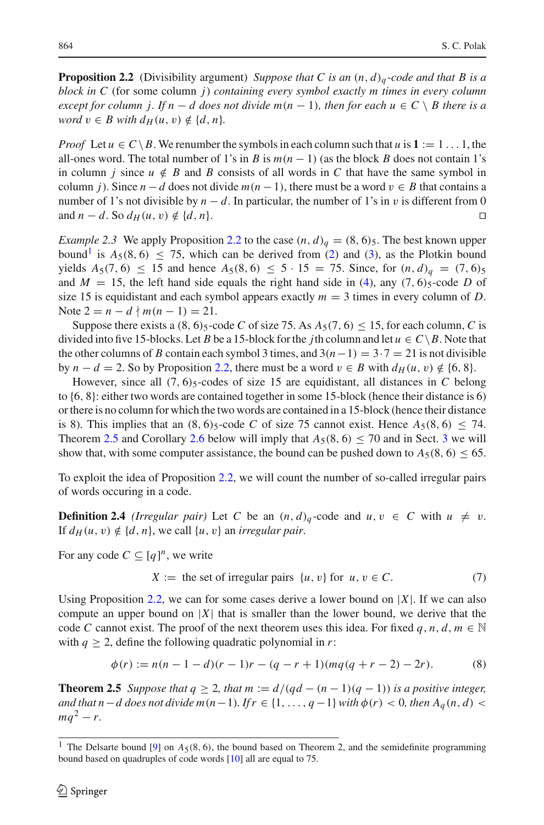**Proposition 2.2** (Divisibility argument) *Suppose that C is an*  $(n, d)$ <sub>*a*</sub>-code and that B is a *block in C* (for some column *j*) *containing every symbol exactly m times in every column except for column j. If n* − *d does not divide m(n* − 1)*, then for each u* ∈ *C*  $\setminus$  *B there is a word*  $v \in B$  *with*  $d_H(u, v) \notin \{d, n\}$ .

*Proof* Let  $u \in C \ B$ . We renumber the symbols in each column such that  $u$  is  $1 := 1 \dots 1$ , the all-ones word. The total number of 1's in *B* is  $m(n - 1)$  (as the block *B* does not contain 1's in column *j* since  $u \notin B$  and *B* consists of all words in *C* that have the same symbol in column *j*). Since  $n - d$  does not divide  $m(n - 1)$ , there must be a word  $v \in B$  that contains a number of 1's not divisible by *n* − *d*. In particular, the number of 1's in *v* is different from 0 and *n* − *d*. So  $d_{\mathcal{U}}(u, v) \notin \{d, n\}$ and  $n - d$ . So  $d_H(u, v) \notin \{d, n\}$ .

<span id="page-3-2"></span>*Example 2.3* We apply Proposition [2.2](#page-2-1) to the case  $(n, d)$ <sup> $q$ </sup> = (8, 6)<sub>5</sub>. The best known upper bound<sup>[1](#page-3-0)</sup> is  $A_5(8, 6) \le 75$ , which can be derived from [\(2\)](#page-1-2) and [\(3\)](#page-1-3), as the Plotkin bound yields  $A_5(7, 6) \le 15$  and hence  $A_5(8, 6) \le 5 \cdot 15 = 75$ . Since, for  $(n, d)_q = (7, 6)_5$ and  $M = 15$ , the left hand side equals the right hand side in [\(4\)](#page-1-0), any (7, 6)<sub>5</sub>-code *D* of size 15 is equidistant and each symbol appears exactly  $m = 3$  times in every column of *D*. Note  $2 = n - d \nmid m(n-1) = 21$ .

Suppose there exists a  $(8, 6)$ <sub>5</sub>-code *C* of size 75. As  $A_5(7, 6) \le 15$ , for each column, *C* is divided into five 15-blocks. Let *B* be a 15-block for the *j*th column and let  $u \in C \ B$ . Note that the other columns of *B* contain each symbol 3 times, and  $3(n-1) = 3 \cdot 7 = 21$  is not divisible by  $n - d = 2$ . So by Proposition [2.2,](#page-2-1) there must be a word  $v \in B$  with  $d_H(u, v) \notin \{6, 8\}$ .

However, since all  $(7, 6)$ <sub>5</sub>-codes of size 15 are equidistant, all distances in *C* belong to {6, 8}: either two words are contained together in some 15-block (hence their distance is 6) or there is no column for which the two words are contained in a 15-block (hence their distance is 8). This implies that an  $(8, 6)$ <sub>5</sub>-code *C* of size 75 cannot exist. Hence  $A_5(8, 6) \le 74$ . Theorem [2.5](#page-3-1) and Corollary [2.6](#page-5-0) below will imply that  $A_5(8, 6) \le 70$  and in Sect. [3](#page-5-1) we will show that, with some computer assistance, the bound can be pushed down to  $A_5(8, 6) \le 65$ .

To exploit the idea of Proposition [2.2,](#page-2-1) we will count the number of so-called irregular pairs of words occuring in a code.

**Definition 2.4** *(Irregular pair)* Let *C* be an  $(n, d)$ <sub>*q*</sub>-code and  $u, v \in C$  with  $u \neq v$ . If  $d_H(u, v) \notin \{d, n\}$ , we call  $\{u, v\}$  an *irregular pair*.

For any code  $C \subseteq [q]^n$ , we write

$$
X := \text{the set of irregular pairs } \{u, v\} \text{ for } u, v \in C. \tag{7}
$$

Using Proposition [2.2,](#page-2-1) we can for some cases derive a lower bound on  $|X|$ . If we can also compute an upper bound on  $|X|$  that is smaller than the lower bound, we derive that the code *C* cannot exist. The proof of the next theorem uses this idea. For fixed  $q, n, d, m \in \mathbb{N}$ with  $q \geq 2$ , define the following quadratic polynomial in *r*:

$$
\phi(r) := n(n-1-d)(r-1)r - (q-r+1)(mq(q+r-2) - 2r). \tag{8}
$$

<span id="page-3-1"></span>**Theorem 2.5** *Suppose that*  $q \geq 2$ *, that*  $m := d/(qd - (n - 1)(q - 1))$  *is a positive integer, and that n*−*d does not divide m*(*n*−1)*. If*  $r \in \{1, ..., q-1\}$  *with*  $\phi(r) < 0$ *, then*  $A_q(n, d) <$  $mq^2 - r$ .

<span id="page-3-0"></span><sup>&</sup>lt;sup>1</sup> The Delsarte bound [\[9\]](#page-12-3) on  $A_5(8, 6)$ , the bound based on Theorem 2, and the semidefinite programming bound based on quadruples of code words [\[10\]](#page-12-4) all are equal to 75.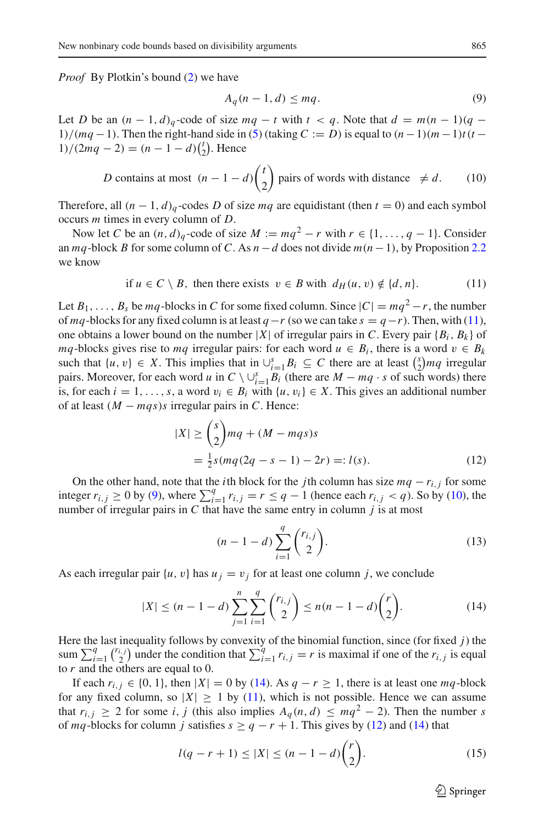*Proof* By Plotkin's bound [\(2\)](#page-1-2) we have

<span id="page-4-2"></span><span id="page-4-1"></span><span id="page-4-0"></span>
$$
A_q(n-1,d) \le mq. \tag{9}
$$

Let *D* be an  $(n-1, d)$ <sub>q</sub>-code of size  $mq - t$  with  $t < q$ . Note that  $d = m(n-1)(q - t)$ 1)/( $mq - 1$ ). Then the right-hand side in [\(5\)](#page-1-1) (taking  $C := D$ ) is equal to  $(n - 1)(m - 1)t(t - 1)$  $1)/(2mq - 2) = (n - 1 - d)\binom{t}{2}$ . Hence

*D* contains at most 
$$
(n-1-d)\binom{t}{2}
$$
 pairs of words with distance  $\neq d$ . (10)

Therefore, all  $(n - 1, d)$ <sub>q</sub>-codes *D* of size *mq* are equidistant (then  $t = 0$ ) and each symbol occurs *m* times in every column of *D*.

Now let *C* be an  $(n, d)_q$ -code of size  $M := mq^2 - r$  with  $r \in \{1, ..., q - 1\}$ . Consider an  $mq$ -block *B* for some column of *C*. As  $n - d$  does not divide  $m(n - 1)$ , by Proposition [2.2](#page-2-1) we know

if 
$$
u \in C \setminus B
$$
, then there exists  $v \in B$  with  $d_H(u, v) \notin \{d, n\}$ . (11)

Let  $B_1, \ldots, B_s$  be  $mq$ -blocks in *C* for some fixed column. Since  $|C| = mq^2 - r$ , the number of *mq*-blocks for any fixed column is at least *q*−*r* (so we can take  $s = q - r$ ). Then, with [\(11\)](#page-4-0), one obtains a lower bound on the number  $|X|$  of irregular pairs in *C*. Every pair  $\{B_i, B_k\}$  of *mq*-blocks gives rise to *mq* irregular pairs: for each word  $u \in B_i$ , there is a word  $v \in B_k$ such that  $\{u, v\} \in X$ . This implies that in  $\bigcup_{i=1}^s B_i \subseteq C$  there are at least  $\binom{s}{2}mq$  irregular pairs. Moreover, for each word *u* in  $C \setminus \bigcup_{i=1}^{s} B_i$  (there are  $M - mq \cdot s$  of such words) there is, for each  $i = 1, \ldots, s$ , a word  $v_i \in B_i$  with  $\{u, v_i\} \in X$ . This gives an additional number of at least  $(M - mqs)s$  irregular pairs in *C*. Hence:

$$
|X| \ge \binom{s}{2}mq + (M - mqs)s
$$
  
=  $\frac{1}{2}s(mq(2q - s - 1) - 2r) =: l(s).$  (12)

On the other hand, note that the *i*th block for the *j*th column has size  $mq - r_i$ , *j* for some integer  $r_{i,j}$  ≥ 0 by [\(9\)](#page-4-1), where  $\sum_{i=1}^{q} r_{i,j} = r \leq q - 1$  (hence each  $r_{i,j} < q$ ). So by [\(10\)](#page-4-2), the number of irregular pairs in *C* that have the same entry in column *j* is at most

<span id="page-4-4"></span>
$$
(n-1-d)\sum_{i=1}^{q} {r_{i,j} \choose 2}.
$$
 (13)

As each irregular pair  $\{u, v\}$  has  $u_j = v_j$  for at least one column *j*, we conclude

$$
|X| \le (n-1-d) \sum_{j=1}^{n} \sum_{i=1}^{q} {r_{i,j} \choose 2} \le n(n-1-d){r \choose 2}.
$$
 (14)

Here the last inequality follows by convexity of the binomial function, since (for fixed *j*) the sum  $\sum_{i=1}^{q} {r_{i,j} \choose 2}$  under the condition that  $\sum_{i=1}^{q} r_{i,j} = r$  is maximal if one of the  $r_{i,j}$  is equal to *r* and the others are equal to 0.

If each  $r_{i,j} \in \{0, 1\}$ , then  $|X| = 0$  by [\(14\)](#page-4-3). As  $q - r \ge 1$ , there is at least one  $mq$ -block for any fixed column, so  $|X| \ge 1$  by [\(11\)](#page-4-0), which is not possible. Hence we can assume that  $r_{i,j} \geq 2$  for some *i*, *j* (this also implies  $A_a(n,d) \leq mq^2 - 2$ ). Then the number *s* of *mq*-blocks for column *j* satisfies  $s \ge q - r + 1$ . This gives by [\(12\)](#page-4-4) and [\(14\)](#page-4-3) that

$$
l(q - r + 1) \le |X| \le (n - 1 - d) \binom{r}{2}.
$$
 (15)

<span id="page-4-5"></span><span id="page-4-3"></span> $\circled{2}$  Springer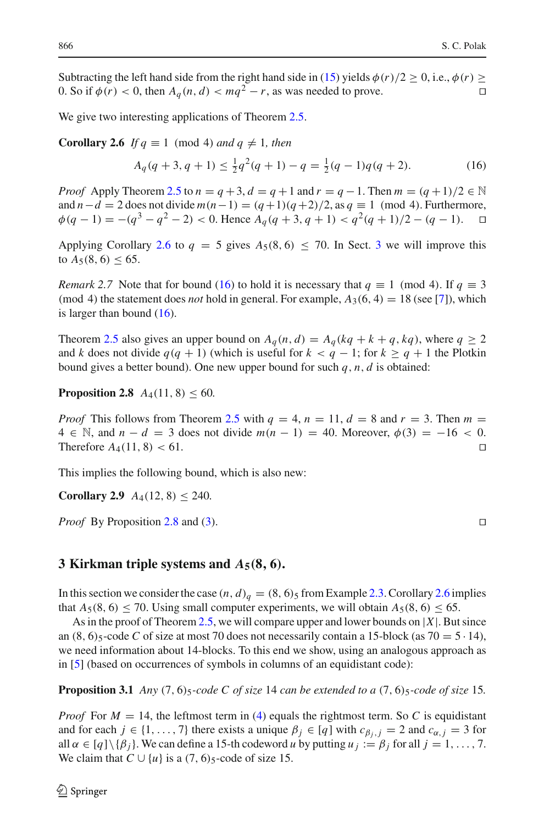Subtracting the left hand side from the right hand side in [\(15\)](#page-4-5) yields  $\phi(r)/2 \ge 0$ , i.e.,  $\phi(r) \ge 0$ . So if  $\phi(r) < 0$ , then  $A_c(n, d) < ma^2 - r$ , as was needed to prove. 0. So if  $\phi(r) < 0$ , then  $A_q(n, d) < mq^2 - r$ , as was needed to prove.

<span id="page-5-0"></span>We give two interesting applications of Theorem [2.5.](#page-3-1)

**Corollary 2.6** *If*  $q \equiv 1 \pmod{4}$  *and*  $q \neq 1$ *, then* 

<span id="page-5-2"></span>
$$
A_q(q+3, q+1) \le \frac{1}{2}q^2(q+1) - q = \frac{1}{2}(q-1)q(q+2). \tag{16}
$$

*Proof* Apply Theorem [2.5](#page-3-1) to  $n = q + 3$ ,  $d = q + 1$  and  $r = q - 1$ . Then  $m = (q + 1)/2 \in \mathbb{N}$ and  $n-d = 2$  does not divide  $m(n-1) = (q+1)(q+2)/2$ , as  $q \equiv 1 \pmod{4}$ . Furthermore,  $\phi(q-1) = -(q^3 - q^2 - 2) < 0$ . Hence  $A_q(q+3, q+1) < q^2(q+1)/2 - (q-1)$ .

Applying Corollary [2.6](#page-5-0) to  $q = 5$  gives  $A_5(8, 6) \le 70$ . In Sect. [3](#page-5-1) we will improve this to  $A_5(8, 6) \leq 65$ .

*Remark 2.7* Note that for bound [\(16\)](#page-5-2) to hold it is necessary that  $q \equiv 1 \pmod{4}$ . If  $q \equiv 3$ (mod 4) the statement does *not* hold in general. For example,  $A_3(6, 4) = 18$  (see [\[7](#page-12-2)]), which is larger than bound  $(16)$ .

Theorem [2.5](#page-3-1) also gives an upper bound on  $A_q(n, d) = A_q(kq + k + q, kq)$ , where  $q \ge 2$ and *k* does not divide  $q(q + 1)$  (which is useful for  $k < q - 1$ ; for  $k \ge q + 1$  the Plotkin bound gives a better bound). One new upper bound for such *q*, *n*, *d* is obtained:

<span id="page-5-3"></span>**Proposition 2.8**  $A_4(11, 8) \le 60$ .

*Proof* This follows from Theorem [2.5](#page-3-1) with  $q = 4$ ,  $n = 11$ ,  $d = 8$  and  $r = 3$ . Then  $m =$ 4 ∈ N, and *n* − *d* = 3 does not divide *m*(*n* − 1) = 40. Moreover,  $\phi$ (3) = −16 < 0.<br>Therefore *A*<sub>4</sub>(11, 8) < 61. Therefore  $A_4(11, 8) < 61$ .

This implies the following bound, which is also new:

**Corollary 2.9**  $A_4(12, 8) \le 240$ .

*Proof* By Proposition [2.8](#page-5-3) and [\(3\)](#page-1-3). □

#### <span id="page-5-1"></span>**3 Kirkman triple systems and**  $A_5(8, 6)$ **.**

In this section we consider the case  $(n, d)_q = (8, 6)_5$  from Example [2.3.](#page-3-2) Corollary [2.6](#page-5-0) implies that  $A_5(8, 6) \le 70$ . Using small computer experiments, we will obtain  $A_5(8, 6) \le 65$ .

As in the proof of Theorem [2.5,](#page-3-1) we will compare upper and lower bounds on |*X*|. But since an  $(8, 6)$ <sub>5</sub>-code *C* of size at most 70 does not necessarily contain a 15-block (as 70 = 5 · 14), we need information about 14-blocks. To this end we show, using an analogous approach as in [\[5\]](#page-12-5) (based on occurrences of symbols in columns of an equidistant code):

<span id="page-5-4"></span>**Proposition 3.1** *Any*  $(7, 6)$ <sub>5</sub>*-code C of size* 14 *can be extended to a*  $(7, 6)$ <sub>5</sub>*-code of size* 15*.* 

*Proof* For  $M = 14$ , the leftmost term in [\(4\)](#page-1-0) equals the rightmost term. So C is equidistant and for each  $j \in \{1, ..., 7\}$  there exists a unique  $\beta_j \in [q]$  with  $c_{\beta_j, j} = 2$  and  $c_{\alpha_j, j} = 3$  for all  $\alpha \in [q] \setminus \{\beta_i\}$ . We can define a 15-th codeword *u* by putting  $u_j := \beta_j$  for all  $j = 1, \ldots, 7$ . We claim that  $C \cup \{u\}$  is a  $(7, 6)$ <sub>5</sub>-code of size 15.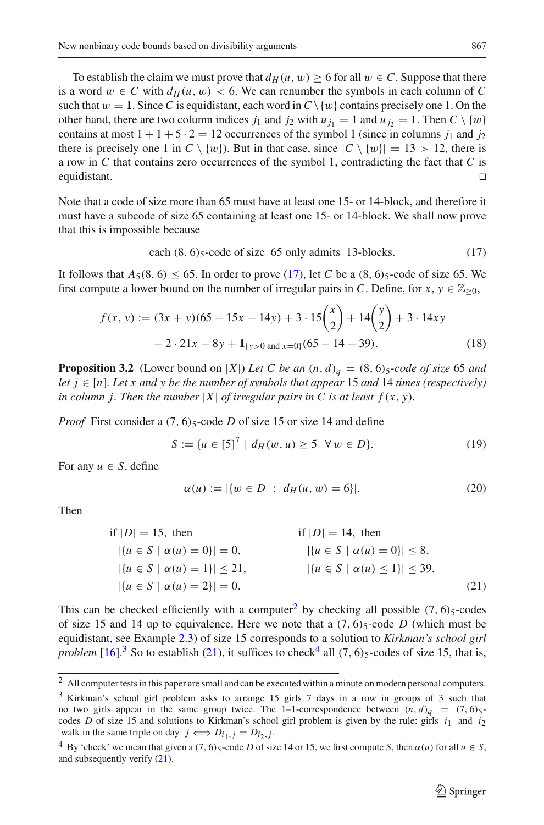To establish the claim we must prove that  $d_H(u, w) \ge 6$  for all  $w \in C$ . Suppose that there is a word  $w \in C$  with  $d_H(u, w) < 6$ . We can renumber the symbols in each column of C such that  $w = 1$ . Since *C* is equidistant, each word in  $C \setminus \{w\}$  contains precisely one 1. On the other hand, there are two column indices  $j_1$  and  $j_2$  with  $u_{j_1} = 1$  and  $u_{j_2} = 1$ . Then  $C \setminus \{w\}$ contains at most  $1 + 1 + 5 \cdot 2 = 12$  occurrences of the symbol 1 (since in columns  $j_1$  and  $j_2$ ) there is precisely one 1 in  $C \setminus \{w\}$ . But in that case, since  $|C \setminus \{w\}| = 13 > 12$ , there is a row in *C* that contains zero occurrences of the symbol 1, contradicting the fact that *C* is equidistant.

Note that a code of size more than 65 must have at least one 15- or 14-block, and therefore it must have a subcode of size 65 containing at least one 15- or 14-block. We shall now prove that this is impossible because

<span id="page-6-0"></span>each 
$$
(8, 6)_5
$$
-code of size 65 only admits 13-blocks. (17)

It follows that  $A_5(8, 6) \le 65$ . In order to prove [\(17\)](#page-6-0), let *C* be a  $(8, 6)$ <sub>5</sub>-code of size 65. We first compute a lower bound on the number of irregular pairs in *C*. Define, for  $x, y \in \mathbb{Z}_{\geq 0}$ ,

$$
f(x, y) := (3x + y)(65 - 15x - 14y) + 3 \cdot 15\binom{x}{2} + 14\binom{y}{2} + 3 \cdot 14xy
$$

$$
- 2 \cdot 21x - 8y + \mathbf{1}_{\{y > 0 \text{ and } x = 0\}}(65 - 14 - 39). \tag{18}
$$

<span id="page-6-5"></span>**Proposition 3.2** (Lower bound on |*X*|) *Let C be an*  $(n, d)$ <sup> $q$ </sup> = (8, 6)<sup>5</sup>*-code of size* 65 *and let*  $j \in [n]$ *. Let* x and y be the number of symbols that appear 15 and 14 times (respectively) *in column j. Then the number*  $|X|$  *of irregular pairs in C is at least*  $f(x, y)$ *.* 

*Proof* First consider a  $(7, 6)$ <sub>5</sub>-code *D* of size 15 or size 14 and define

$$
S := \{ u \in [5]^7 \mid d_H(w, u) \ge 5 \quad \forall \, w \in D \}. \tag{19}
$$

For any  $u \in S$ , define

<span id="page-6-3"></span>
$$
\alpha(u) := |\{w \in D : d_H(u, w) = 6\}|. \tag{20}
$$

Then

if 
$$
|D| = 15
$$
, then if  $|D| = 14$ , then  
\n
$$
|\{u \in S \mid \alpha(u) = 0\}| = 0,
$$
\n
$$
|\{u \in S \mid \alpha(u) = 1\}| \le 21,
$$
\n
$$
|\{u \in S \mid \alpha(u) = 2\}| = 0.
$$
\n
$$
(21)
$$

This can be checked efficiently with a computer<sup>[2](#page-6-1)</sup> by checking all possible  $(7, 6)$ <sub>5</sub>-codes of size 15 and 14 up to equivalence. Here we note that a  $(7, 6)$ <sub>5</sub>-code *D* (which must be equidistant, see Example [2.3\)](#page-3-2) of size 15 corresponds to a solution to *Kirkman's school girl problem* [\[16\]](#page-13-2).<sup>[3](#page-6-2)</sup> So to establish [\(21\)](#page-6-3), it suffices to check<sup>[4](#page-6-4)</sup> all (7, 6) $\frac{1}{2}$ -codes of size 15, that is,

<span id="page-6-2"></span><span id="page-6-1"></span><sup>3</sup> Kirkman's school girl problem asks to arrange 15 girls 7 days in a row in groups of 3 such that no two girls appear in the same group twice. The 1-1-correspondence between  $(n, d)q = (7, 6)5$ codes *D* of size 15 and solutions to Kirkman's school girl problem is given by the rule: girls  $i_1$  and  $i_2$ walk in the same triple on day  $j \iff D_{i_1,j} = D_{i_2,j}$ .

<sup>2</sup> All computer tests in this paper are small and can be executed within a minute on modern personal computers.

<span id="page-6-4"></span><sup>&</sup>lt;sup>4</sup> By 'check' we mean that given a  $(7, 6)$ <sub>5</sub>-code *D* of size 14 or 15, we first compute *S*, then  $\alpha(u)$  for all  $u \in S$ , and subsequently verify [\(21\)](#page-6-3).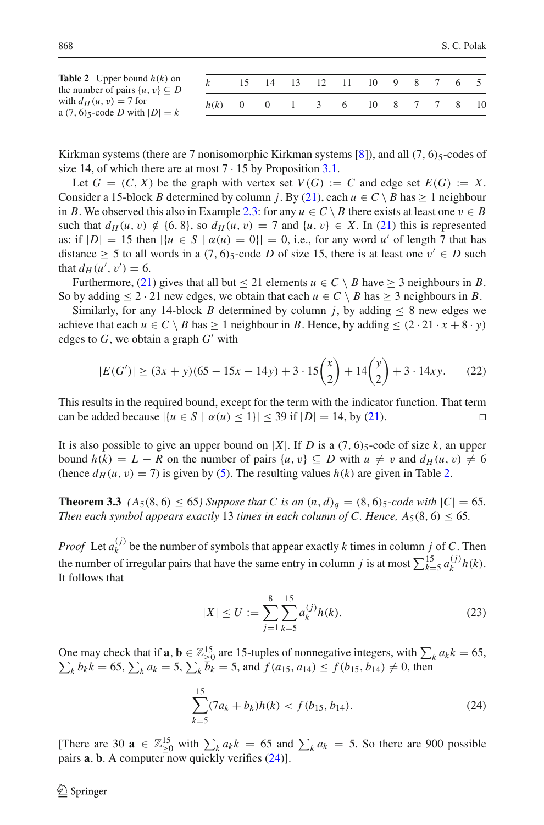<span id="page-7-0"></span>

| <b>Table 2</b> Upper bound $h(k)$ on<br>the number of pairs $\{u, v\} \subseteq D$ |            | 15 |  | 14 13 12 11 10 9 8 7 6 5 |  |  |      |
|------------------------------------------------------------------------------------|------------|----|--|--------------------------|--|--|------|
| with $d_H(u, v) = 7$ for<br>a (7, 6) $\zeta$ -code D with $ D  = k$                | $h(k) = 0$ |    |  | 0 1 3 6 10 8 7 7 8       |  |  | - 10 |

Kirkman systems (there are 7 nonisomorphic Kirkman systems  $[8]$ ), and all  $(7, 6)$ <sub>5</sub>-codes of size 14, of which there are at most  $7 \cdot 15$  by Proposition [3.1.](#page-5-4)

Let  $G = (C, X)$  be the graph with vertex set  $V(G) := C$  and edge set  $E(G) := X$ . Consider a 15-block *B* determined by column *j*. By [\(21\)](#page-6-3), each  $u \in C \setminus B$  has > 1 neighbour in *B*. We observed this also in Example [2.3:](#page-3-2) for any  $u \in C \setminus B$  there exists at least one  $v \in B$ such that  $d_H(u, v) \notin \{6, 8\}$ , so  $d_H(u, v) = 7$  and  $\{u, v\} \in X$ . In [\(21\)](#page-6-3) this is represented as: if  $|D| = 15$  then  $|\{u \in S \mid \alpha(u) = 0\}| = 0$ , i.e., for any word *u'* of length 7 that has distance  $\geq$  5 to all words in a (7, 6)<sub>5</sub>-code *D* of size 15, there is at least one  $v' \in D$  such that  $d_{H}(u', v') = 6$ .

Furthermore, [\(21\)](#page-6-3) gives that all but  $\leq$  21 elements  $u \in C \setminus B$  have  $\geq$  3 neighbours in *B*. So by adding  $\leq 2 \cdot 21$  new edges, we obtain that each  $u \in C \setminus B$  has  $\geq 3$  neighbours in *B*.

Similarly, for any 14-block *B* determined by column *j*, by adding  $\leq 8$  new edges we achieve that each  $u \in C \setminus B$  has  $\geq 1$  neighbour in *B*. Hence, by adding  $\leq (2 \cdot 21 \cdot x + 8 \cdot y)$ edges to  $G$ , we obtain a graph  $G'$  with

$$
|E(G')| \ge (3x + y)(65 - 15x - 14y) + 3 \cdot 15\binom{x}{2} + 14\binom{y}{2} + 3 \cdot 14xy. \tag{22}
$$

This results in the required bound, except for the term with the indicator function. That term can be added because  $|\{u \in S \mid \alpha(u) \le 1\}| \le 39$  if  $|D| = 14$ , by [\(21\)](#page-6-3).

It is also possible to give an upper bound on |*X*|. If *D* is a (7, 6) $\varsigma$ -code of size *k*, an upper bound  $h(k) = L - R$  on the number of pairs  $\{u, v\} \subseteq D$  with  $u \neq v$  and  $d_H(u, v) \neq 6$ (hence  $d_H(u, v) = 7$ ) is given by [\(5\)](#page-1-1). The resulting values  $h(k)$  are given in Table [2.](#page-7-0)

<span id="page-7-3"></span>**Theorem 3.3**  $(A_5(8, 6) \le 65)$  Suppose that C is an  $(n, d)_q = (8, 6)_5$ -code with  $|C| = 65$ . *Then each symbol appears exactly* 13 *times in each column of C. Hence,*  $A_5(8, 6) \le 65$ .

*Proof* Let  $a_k^{(j)}$  be the number of symbols that appear exactly *k* times in column *j* of *C*. Then the number of irregular pairs that have the same entry in column *j* is at most  $\sum_{k=5}^{15} a_k^{(j)} h(k)$ . It follows that

<span id="page-7-2"></span>
$$
|X| \le U := \sum_{j=1}^{8} \sum_{k=5}^{15} a_k^{(j)} h(k).
$$
 (23)

One may check that if **a**, **b**  $\in \mathbb{Z}_{\geq 0}^{15}$  are 15-tuples of nonnegative integers, with  $\sum_{k} a_{k} k = 65$ ,  $\sum_{k} b_{k} k = 65$ ,  $\sum_{k} a_{k} = 5$ ,  $\sum_{k} \overline{b}_{k} = 5$ , and  $f(a_{15}, a_{14}) \leq f(b_{15}, b_{14}) \neq 0$ , then

<span id="page-7-1"></span>
$$
\sum_{k=5}^{15} (7a_k + b_k)h(k) < f(b_{15}, b_{14}).\tag{24}
$$

[There are 30  $\mathbf{a} \in \mathbb{Z}_{\geq 0}^{15}$  with  $\sum_{k} a_{k} = 65$  and  $\sum_{k} a_{k} = 5$ . So there are 900 possible pairs **a**, **b**. A computer now quickly verifies [\(24\)](#page-7-1)].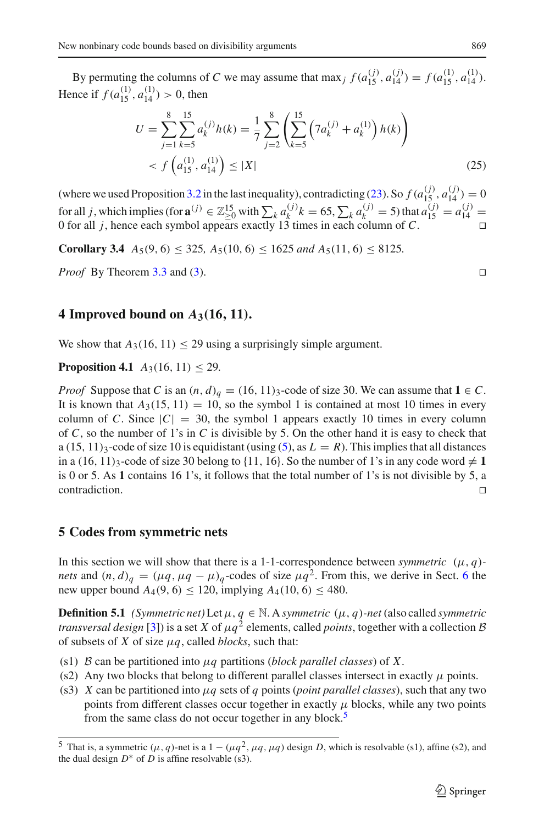By permuting the columns of *C* we may assume that max *j*  $f(a_{15}^{(j)}, a_{14}^{(j)}) = f(a_{15}^{(1)}, a_{14}^{(1)})$ . Hence if  $f(a_{15}^{(1)}, a_{14}^{(1)}) > 0$ , then

$$
U = \sum_{j=1}^{8} \sum_{k=5}^{15} a_k^{(j)} h(k) = \frac{1}{7} \sum_{j=2}^{8} \left( \sum_{k=5}^{15} \left( 7a_k^{(j)} + a_k^{(1)} \right) h(k) \right)
$$
  
<  $f\left(a_{15}^{(1)}, a_{14}^{(1)}\right) \le |X|$  (25)

(where we used Proposition [3.2](#page-6-5) in the last inequality), contradicting [\(23\)](#page-7-2). So  $f(a_{15}^{(j)}, a_{14}^{(j)}) = 0$ for all *j*, which implies (for  $\mathbf{a}^{(j)} \in \mathbb{Z}_{\geq 0}^{15}$  with  $\sum_{k} a_k^{(j)} k = 65$ ,  $\sum_{k} a_k^{(j)} = 5$ ) that  $a_{15}^{(j)} = a_{14}^{(j)} = 0$ 0 for all *j*, hence each symbol appears exactly 13 times in each column of *C*.

**Corollary 3.4**  $A_5(9, 6) \le 325$ ,  $A_5(10, 6) \le 1625$  *and*  $A_5(11, 6) \le 8125$ .

*Proof* By Theorem [3.3](#page-7-3) and [\(3\)](#page-1-3). □

#### **4 Improved bound on**  $A_3(16, 11)$ **.**

We show that  $A_3(16, 11) \leq 29$  using a surprisingly simple argument.

#### **Proposition 4.1**  $A_3(16, 11) \le 29$ .

*Proof* Suppose that *C* is an  $(n, d)$ <sup>*q*</sup> = (16, 11)<sub>3</sub>-code of size 30. We can assume that **1**  $\in$  *C*. It is known that  $A_3(15, 11) = 10$ , so the symbol 1 is contained at most 10 times in every column of *C*. Since  $|C| = 30$ , the symbol 1 appears exactly 10 times in every column of *C*, so the number of 1's in *C* is divisible by 5. On the other hand it is easy to check that a  $(15, 11)_3$ -code of size 10 is equidistant (using  $(5)$ , as  $L = R$ ). This implies that all distances in a  $(16, 11)_3$ -code of size 30 belong to  $\{11, 16\}$ . So the number of 1's in any code word  $\neq 1$ is 0 or 5. As **1** contains 16 1's, it follows that the total number of 1's is not divisible by 5, a  $\Box$ contradiction.  $\Box$ 

# <span id="page-8-0"></span>**5 Codes from symmetric nets**

In this section we will show that there is a 1-1-correspondence between *symmetric*  $(\mu, q)$ *nets* and  $(n, d)$ <sup>*q*</sup> =  $((\mu q, \mu q - \mu)$ <sup>*q*</sup> -codes of size  $\mu q^2$ . From this, we derive in Sect. [6](#page-11-0) the new upper bound  $A_4(9, 6) \le 120$ , implying  $A_4(10, 6) \le 480$ .

**Definition 5.1** *(Symmetric net)* Let  $\mu$ ,  $q \in \mathbb{N}$ . A *symmetric*  $(\mu, q)$ *-net* (also called *symmetric transversal design* [\[3](#page-12-7)]) is a set *X* of  $\mu q^2$  elements, called *points*, together with a collection *B* of subsets of *X* of size  $\mu q$ , called *blocks*, such that:

- (s1) *B* can be partitioned into μ*q* partitions (*block parallel classes*) of *X*.
- (s2) Any two blocks that belong to different parallel classes intersect in exactly  $\mu$  points.
- (s3) *X* can be partitioned into  $\mu q$  sets of *q* points (*point parallel classes*), such that any two points from different classes occur together in exactly  $\mu$  blocks, while any two points from the same class do not occur together in any block.<sup>[5](#page-8-1)</sup>

<span id="page-8-1"></span><sup>&</sup>lt;sup>5</sup> That is, a symmetric  $(\mu, q)$ -net is a  $1 - (\mu q^2, \mu q, \mu q)$  design *D*, which is resolvable (s1), affine (s2), and the dual design  $D^*$  of *D* is affine resolvable (s3).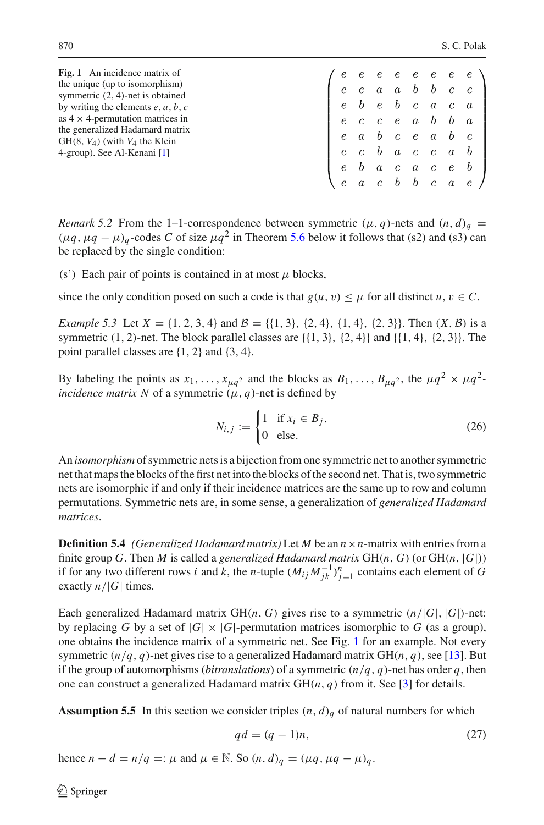<span id="page-9-0"></span>

| <b>Fig. 1</b> An incidence matrix of                                                 |  |  |  |  |                                                                                                                                                                                         |
|--------------------------------------------------------------------------------------|--|--|--|--|-----------------------------------------------------------------------------------------------------------------------------------------------------------------------------------------|
| the unique (up to isomorphism)                                                       |  |  |  |  |                                                                                                                                                                                         |
| symmetric $(2, 4)$ -net is obtained<br>by writing the elements $e$ , $a$ , $b$ , $c$ |  |  |  |  |                                                                                                                                                                                         |
| as $4 \times 4$ -permutation matrices in                                             |  |  |  |  | $\left( \begin{array}{cccccccccc} e & e & e & e & e & e & e & e \\ e & e & a & a & b & b & c & c \\ e & b & e & b & c & a & c & a \\ e & c & c & e & a & b & b & a \end{array} \right)$ |
| the generalized Hadamard matrix<br>$GH(8, V_4)$ (with $V_4$ the Klein                |  |  |  |  | $\left( \begin{array}{cccccccccccccccccc} c& c& c& e&a& o& 0&a\ e&a& b& c& e&a& b& c\ e& c& b&a& c&e&a& b\ e& b&a& c&a& c&e& b\ e&a& c& b& b& c&a&e \end{array} \right)$                |
| 4-group). See Al-Kenani [1]                                                          |  |  |  |  |                                                                                                                                                                                         |
|                                                                                      |  |  |  |  |                                                                                                                                                                                         |
|                                                                                      |  |  |  |  |                                                                                                                                                                                         |

*Remark 5.2* From the 1–1-correspondence between symmetric  $(\mu, q)$ -nets and  $(n, d)$ <sub>*q*</sub> =  $(\mu q, \mu q - \mu)_q$ -codes *C* of size  $\mu q^2$  in Theorem [5.6](#page-10-0) below it follows that (s2) and (s3) can be replaced by the single condition:

(s') Each pair of points is contained in at most  $\mu$  blocks,

since the only condition posed on such a code is that  $g(u, v) \leq \mu$  for all distinct  $u, v \in \mathbb{C}$ .

*Example 5.3* Let  $X = \{1, 2, 3, 4\}$  and  $\mathcal{B} = \{\{1, 3\}, \{2, 4\}, \{1, 4\}, \{2, 3\}\}\$ . Then  $(X, \mathcal{B})$  is a symmetric  $(1, 2)$ -net. The block parallel classes are  $\{\{1, 3\}, \{2, 4\}\}\$ and  $\{\{1, 4\}, \{2, 3\}\}\$ . The point parallel classes are {1, 2} and {3, 4}.

By labeling the points as  $x_1, \ldots, x_{\mu q^2}$  and the blocks as  $B_1, \ldots, B_{\mu q^2}$ , the  $\mu q^2 \times \mu q^2$ *incidence matrix N* of a symmetric  $(\mu, q)$ -net is defined by

$$
N_{i,j} := \begin{cases} 1 & \text{if } x_i \in B_j, \\ 0 & \text{else.} \end{cases}
$$
 (26)

An *isomorphism* of symmetric nets is a bijection from one symmetric net to another symmetric net that maps the blocks of the first net into the blocks of the second net. That is, two symmetric nets are isomorphic if and only if their incidence matrices are the same up to row and column permutations. Symmetric nets are, in some sense, a generalization of *generalized Hadamard matrices*.

**Definition 5.4** *(Generalized Hadamard matrix)* Let *M* be an *n*×*n*-matrix with entries from a finite group *G*. Then *M* is called a *generalized Hadamard matrix*  $GH(n, G)$  (or  $GH(n, |G|)$ ) if for any two different rows *i* and *k*, the *n*-tuple  $(M_{ij}M_{jk}^{-1})_{j=1}^n$  contains each element of *G* exactly  $n/|G|$  times.

Each generalized Hadamard matrix  $GH(n, G)$  gives rise to a symmetric  $(n/|G|, |G|)$ -net: by replacing *G* by a set of  $|G| \times |G|$ -permutation matrices isomorphic to *G* (as a group), one obtains the incidence matrix of a symmetric net. See Fig. [1](#page-9-0) for an example. Not every symmetric  $(n/q, q)$ -net gives rise to a generalized Hadamard matrix  $GH(n, q)$ , see [\[13\]](#page-13-3). But if the group of automorphisms (*bitranslations*) of a symmetric (*n*/*q*, *q*)-net has order *q*, then one can construct a generalized Hadamard matrix  $GH(n, q)$  from it. See [\[3](#page-12-7)] for details.

**Assumption 5.5** In this section we consider triples  $(n, d)$ <sup> $q$ </sup> of natural numbers for which

$$
qd = (q - 1)n,
$$
\n<sup>(27)</sup>

hence  $n - d = n/q =: \mu$  and  $\mu \in \mathbb{N}$ . So  $(n, d)_q = (\mu q, \mu q - \mu)_q$ .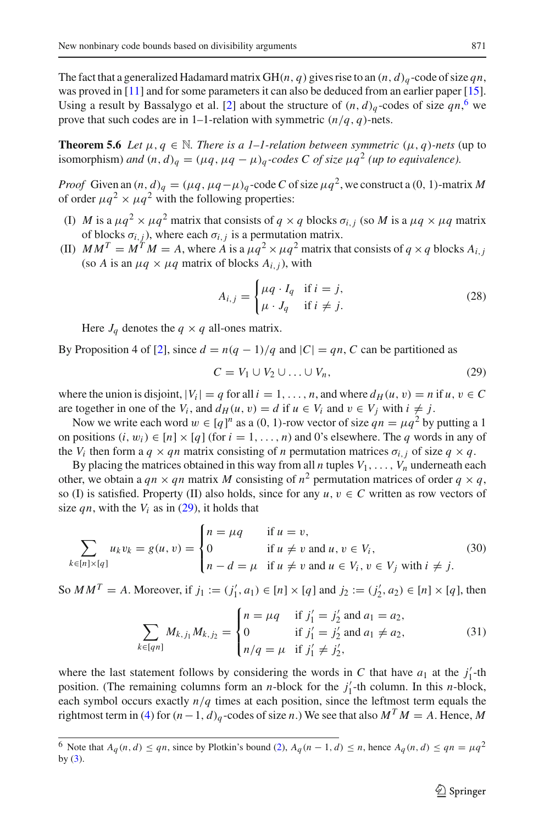The fact that a generalized Hadamard matrix GH( $n$ ,  $q$ ) gives rise to an  $(n, d)$ <sub>q</sub>-code of size  $qn$ , was proved in [\[11](#page-13-1)] and for some parameters it can also be deduced from an earlier paper [\[15\]](#page-13-4). Using a result by Bassalygo et al. [\[2\]](#page-12-9) about the structure of  $(n, d)_q$ -codes of size  $qn$ , we prove that such codes are in 1–1-relation with symmetric  $(n/q, q)$ -nets.

<span id="page-10-0"></span>**Theorem 5.6** *Let*  $\mu, q \in \mathbb{N}$ *. There is a 1–1-relation between symmetric*  $(\mu, q)$ *-nets* (up to isomorphism) *and*  $(n, d)$ <sup>*q*</sup> =  $((\mu q, \mu q - \mu)$ <sup>*q*</sup>-codes C of size  $\mu q$ <sup>2</sup> (*up to equivalence*).

*Proof* Given an  $(n, d)$ <sub>*q*</sub> =  $((\mu q, \mu q - \mu)$ <sub>*q*</sub> -code *C* of size  $\mu q^2$ , we construct a  $(0, 1)$ -matrix *M* of order  $\mu q^2 \times \mu q^2$  with the following properties:

- (I) *M* is a  $\mu q^2 \times \mu q^2$  matrix that consists of  $q \times q$  blocks  $\sigma_{i,j}$  (so *M* is a  $\mu q \times \mu q$  matrix of blocks  $\sigma_{i,j}$ ), where each  $\sigma_{i,j}$  is a permutation matrix.
- (II)  $MM^T = M^T M = A$ , where *A* is a  $\mu q^2 \times \mu q^2$  matrix that consists of  $q \times q$  blocks  $A_{i,j}$ (so *A* is an  $\mu q \times \mu q$  matrix of blocks  $A_{i,j}$ ), with

<span id="page-10-3"></span>
$$
A_{i,j} = \begin{cases} \mu q \cdot I_q & \text{if } i = j, \\ \mu \cdot J_q & \text{if } i \neq j. \end{cases}
$$
 (28)

Here  $J_q$  denotes the  $q \times q$  all-ones matrix.

By Proposition 4 of [\[2\]](#page-12-9), since  $d = n(q - 1)/q$  and  $|C| = qn$ , C can be partitioned as

<span id="page-10-2"></span>
$$
C = V_1 \cup V_2 \cup \ldots \cup V_n,\tag{29}
$$

where the union is disjoint,  $|V_i| = q$  for all  $i = 1, \ldots, n$ , and where  $d_H(u, v) = n$  if  $u, v \in C$ are together in one of the  $V_i$ , and  $d_H(u, v) = d$  if  $u \in V_i$  and  $v \in V_j$  with  $i \neq j$ .

Now we write each word  $w \in [q]^n$  as a (0, 1)-row vector of size  $qn = \mu q^2$  by putting a 1 on positions  $(i, w_i) \in [n] \times [q]$  (for  $i = 1, \ldots, n$ ) and 0's elsewhere. The *q* words in any of the *V<sub>i</sub>* then form a  $q \times qn$  matrix consisting of *n* permutation matrices  $\sigma_{i,j}$  of size  $q \times q$ .

By placing the matrices obtained in this way from all *n* tuples  $V_1, \ldots, V_n$  underneath each other, we obtain a  $qn \times qn$  matrix M consisting of  $n^2$  permutation matrices of order  $q \times q$ , so (I) is satisfied. Property (II) also holds, since for any  $u, v \in C$  written as row vectors of size *qn*, with the  $V_i$  as in [\(29\)](#page-10-2), it holds that

$$
\sum_{k \in [n] \times [q]} u_k v_k = g(u, v) = \begin{cases} n = \mu q & \text{if } u = v, \\ 0 & \text{if } u \neq v \text{ and } u, v \in V_i, \\ n - d = \mu & \text{if } u \neq v \text{ and } u \in V_i, v \in V_j \text{ with } i \neq j. \end{cases}
$$
(30)

So  $MM^T = A$ . Moreover, if  $j_1 := (j'_1, a_1) \in [n] \times [q]$  and  $j_2 := (j'_2, a_2) \in [n] \times [q]$ , then

$$
\sum_{k \in [qn]} M_{k,j_1} M_{k,j_2} = \begin{cases} n = \mu q & \text{if } j'_1 = j'_2 \text{ and } a_1 = a_2, \\ 0 & \text{if } j'_1 = j'_2 \text{ and } a_1 \neq a_2, \\ n/q = \mu & \text{if } j'_1 \neq j'_2, \end{cases}
$$
(31)

where the last statement follows by considering the words in *C* that have  $a_1$  at the  $j'_1$ -th position. (The remaining columns form an *n*-block for the  $j'_1$ -th column. In this *n*-block, each symbol occurs exactly *n*/*q* times at each position, since the leftmost term equals the rightmost term in [\(4\)](#page-1-0) for  $(n-1, d)$ <sub>q</sub>-codes of size *n*.) We see that also  $M^T M = A$ . Hence, M

<span id="page-10-1"></span><sup>6</sup> Note that  $A_q(n, d) \le qn$ , since by Plotkin's bound [\(2\)](#page-1-2),  $A_q(n-1, d) \le n$ , hence  $A_q(n, d) \le qn = \mu q^2$ by  $(3)$ .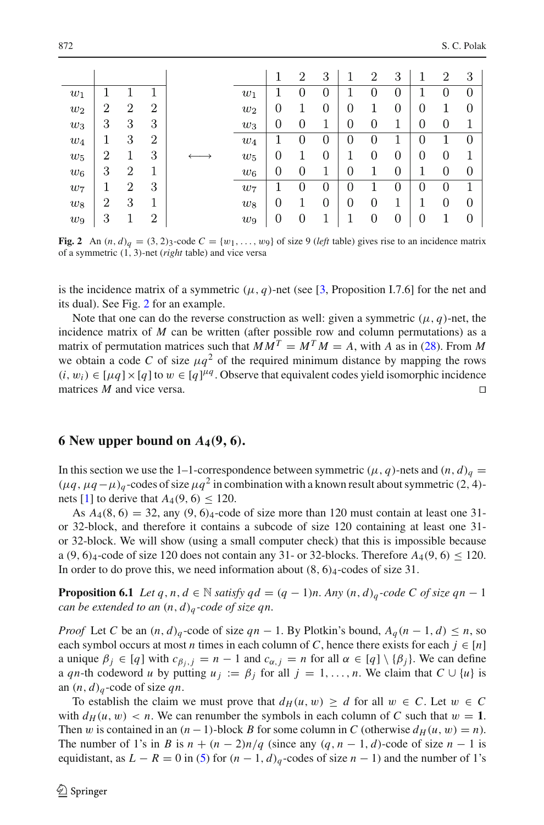|       |                |                |                |       | 1                | $\overline{2}$   | 3 |   | $\overline{2}$ | 3              |                | $\overline{2}$ | 3                |
|-------|----------------|----------------|----------------|-------|------------------|------------------|---|---|----------------|----------------|----------------|----------------|------------------|
| $w_1$ |                |                |                | $w_1$ |                  |                  |   |   |                | 0              |                |                | $\overline{0}$   |
| $w_2$ | 2              | $\overline{2}$ | $\overline{2}$ | $w_2$ | 0                |                  | 0 | 0 |                | 0              | $\overline{0}$ | 1              | 0                |
| $w_3$ | 3              | 3              | 3              | $w_3$ | 0                | $\overline{0}$   |   | 0 | $\overline{0}$ |                | 0              | $\overline{0}$ | 1                |
| $w_4$ | 1              | 3              | $\overline{2}$ | $w_4$ |                  | U                |   | 0 |                |                | O              |                | $\overline{0}$   |
| $w_5$ | 2              | 1              | 3              | $w_5$ | 0                |                  | 0 |   | $\overline{0}$ | $\overline{0}$ | 0              | $\overline{0}$ | 1                |
| $w_6$ | 3              | $\overline{2}$ | ×.             | $w_6$ | 0                | $\theta$         |   | 0 |                | 0              |                | 0              | $\boldsymbol{0}$ |
| $w_7$ |                | $\overline{2}$ | 3              | $w_7$ |                  | U                |   | U |                | 0              | O              | 0              | 1                |
| $w_8$ | $\overline{2}$ | 3              | 1              | $w_8$ | $\boldsymbol{0}$ |                  | 0 | 0 | 0              |                |                | 0              | $\overline{0}$   |
| $w_9$ | 3              |                | $\overline{2}$ | $w_9$ | $\boldsymbol{0}$ | $\boldsymbol{0}$ |   |   |                |                | 0              |                | 0                |

<span id="page-11-1"></span>**Fig. 2** An  $(n, d)_q = (3, 2)_3$ -code  $C = \{w_1, \ldots, w_9\}$  of size 9 (*left* table) gives rise to an incidence matrix of a symmetric (1, 3)-net (*right* table) and vice versa

is the incidence matrix of a symmetric  $(\mu, q)$ -net (see [\[3](#page-12-7), Proposition I.7.6] for the net and its dual). See Fig. [2](#page-11-1) for an example.

Note that one can do the reverse construction as well: given a symmetric  $(\mu, q)$ -net, the incidence matrix of  $M$  can be written (after possible row and column permutations) as a matrix of permutation matrices such that  $MM^T = M^T M = A$ , with *A* as in [\(28\)](#page-10-3). From *M* we obtain a code *C* of size  $\mu q^2$  of the required minimum distance by mapping the rows  $(i, w_i) \in [\mu q] \times [q]$  to  $w \in [q]^{\mu q}$ . Observe that equivalent codes yield isomorphic incidence matrices *M* and vice versa.

## <span id="page-11-0"></span>**6** New upper bound on  $A_4(9, 6)$ .

In this section we use the 1–1-correspondence between symmetric ( $\mu$ , *q*)-nets and (*n*, *d*)<sub>*q*</sub> =  $(\mu q, \mu q - \mu)_q$ -codes of size  $\mu q^2$  in combination with a known result about symmetric (2, 4)-nets [\[1\]](#page-12-8) to derive that  $A_4(9, 6) \le 120$ .

As  $A_4(8, 6) = 32$ , any  $(9, 6)_{4}$ -code of size more than 120 must contain at least one 31or 32-block, and therefore it contains a subcode of size 120 containing at least one 31 or 32-block. We will show (using a small computer check) that this is impossible because a  $(9, 6)_4$ -code of size 120 does not contain any 31- or 32-blocks. Therefore  $A_4(9, 6) \le 120$ . In order to do prove this, we need information about  $(8, 6)_4$ -codes of size 31.

<span id="page-11-2"></span>**Proposition 6.1** *Let q*, *n*, *d*  $\in$  N *satisfy qd* =  $(q - 1)n$ *. Any*  $(n, d)_q$ *-code C of size qn* − 1 *can be extended to an* (*n*, *d*)*<sup>q</sup> -code of size qn.*

*Proof* Let *C* be an  $(n, d)$ <sub>q</sub>-code of size  $qn - 1$ . By Plotkin's bound,  $A_q(n - 1, d) \le n$ , so each symbol occurs at most *n* times in each column of *C*, hence there exists for each  $j \in [n]$ a unique  $\beta_j \in [q]$  with  $c_{\beta_j,j} = n - 1$  and  $c_{\alpha,j} = n$  for all  $\alpha \in [q] \setminus {\beta_j}$ . We can define a *qn*-th codeword *u* by putting  $u_j := \beta_j$  for all  $j = 1, \ldots, n$ . We claim that  $C \cup \{u\}$  is an  $(n, d)$ <sup>*q*</sup>-code of size *qn*.

To establish the claim we must prove that  $d_H(u, w) \ge d$  for all  $w \in C$ . Let  $w \in C$ with  $d_H(u, w) < n$ . We can renumber the symbols in each column of C such that  $w = 1$ . Then w is contained in an  $(n-1)$ -block *B* for some column in *C* (otherwise  $d_H(u, w) = n$ ). The number of 1's in *B* is  $n + (n-2)n/q$  (since any  $(q, n-1, d)$ -code of size  $n-1$  is equidistant, as  $L - R = 0$  in [\(5\)](#page-1-1) for  $(n - 1, d)_q$ -codes of size  $n - 1$ ) and the number of 1's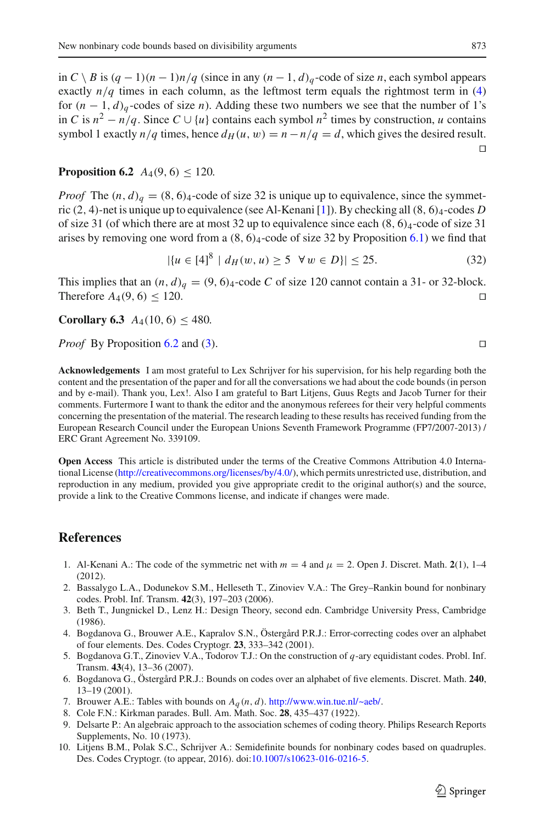in *C* \ *B* is  $(q - 1)(n - 1)n/q$  (since in any  $(n - 1, d)_q$  -code of size *n*, each symbol appears exactly  $n/q$  times in each column, as the leftmost term equals the rightmost term in [\(4\)](#page-1-0) for  $(n-1, d)_q$ -codes of size *n*). Adding these two numbers we see that the number of 1's in *C* is  $n^2 - n/q$ . Since *C* ∪ {*u*} contains each symbol  $n^2$  times by construction, *u* contains symbol 1 exactly  $n/q$  times, hence  $d_H(u, w) = n - n/q = d$ , which gives the desired result.  $\Box$ 

<span id="page-12-10"></span>**Proposition 6.2**  $A_4(9, 6) \le 120$ .

*Proof* The  $(n, d)$ <sup> $q$ </sup> =  $(8, 6)$ <sub>4</sub>-code of size 32 is unique up to equivalence, since the symmetric (2, 4)-net is unique up to equivalence (see Al-Kenani [\[1\]](#page-12-8)). By checking all(8, 6)4-codes *D* of size 31 (of which there are at most 32 up to equivalence since each  $(8, 6)_4$ -code of size 31 arises by removing one word from a  $(8, 6)<sub>4</sub>$ -code of size 32 by Proposition [6.1\)](#page-11-2) we find that

$$
|\{u \in [4]^8 \mid d_H(w, u) \ge 5 \quad \forall \, w \in D\}| \le 25. \tag{32}
$$

This implies that an  $(n, d)$ <sup> $q$ </sup> = (9, 6)<sub>4</sub>-code *C* of size 120 cannot contain a 31- or 32-block. Therefore  $A_4(9, 6) \le 120$ .

**Corollary 6.3**  $A_4(10, 6) \leq 480$ .

*Proof* By Proposition [6.2](#page-12-10) and [\(3\)](#page-1-3).

**Acknowledgements** I am most grateful to Lex Schrijver for his supervision, for his help regarding both the content and the presentation of the paper and for all the conversations we had about the code bounds (in person and by e-mail). Thank you, Lex!. Also I am grateful to Bart Litjens, Guus Regts and Jacob Turner for their comments. Furtermore I want to thank the editor and the anonymous referees for their very helpful comments concerning the presentation of the material. The research leading to these results has received funding from the European Research Council under the European Unions Seventh Framework Programme (FP7/2007-2013) / ERC Grant Agreement No. 339109.

**Open Access** This article is distributed under the terms of the Creative Commons Attribution 4.0 International License [\(http://creativecommons.org/licenses/by/4.0/\)](http://creativecommons.org/licenses/by/4.0/), which permits unrestricted use, distribution, and reproduction in any medium, provided you give appropriate credit to the original author(s) and the source, provide a link to the Creative Commons license, and indicate if changes were made.

#### **References**

- <span id="page-12-8"></span>1. Al-Kenani A.: The code of the symmetric net with  $m = 4$  and  $\mu = 2$ . Open J. Discret. Math. 2(1), 1–4 (2012).
- <span id="page-12-9"></span>2. Bassalygo L.A., Dodunekov S.M., Helleseth T., Zinoviev V.A.: The Grey–Rankin bound for nonbinary codes. Probl. Inf. Transm. **42**(3), 197–203 (2006).
- <span id="page-12-7"></span>3. Beth T., Jungnickel D., Lenz H.: Design Theory, second edn. Cambridge University Press, Cambridge (1986).
- <span id="page-12-0"></span>4. Bogdanova G., Brouwer A.E., Kapralov S.N., Östergård P.R.J.: Error-correcting codes over an alphabet of four elements. Des. Codes Cryptogr. **23**, 333–342 (2001).
- <span id="page-12-5"></span>5. Bogdanova G.T., Zinoviev V.A., Todorov T.J.: On the construction of *q*-ary equidistant codes. Probl. Inf. Transm. **43**(4), 13–36 (2007).
- <span id="page-12-1"></span>6. Bogdanova G., Östergård P.R.J.: Bounds on codes over an alphabet of five elements. Discret. Math. **240**, 13–19 (2001).
- <span id="page-12-2"></span>7. Brouwer A.E.: Tables with bounds on *Aq* (*n*, *d*). [http://www.win.tue.nl/~aeb/.](http://www.win.tue.nl/~aeb/)
- <span id="page-12-6"></span>8. Cole F.N.: Kirkman parades. Bull. Am. Math. Soc. **28**, 435–437 (1922).
- <span id="page-12-3"></span>9. Delsarte P.: An algebraic approach to the association schemes of coding theory. Philips Research Reports Supplements, No. 10 (1973).
- <span id="page-12-4"></span>10. Litjens B.M., Polak S.C., Schrijver A.: Semidefinite bounds for nonbinary codes based on quadruples. Des. Codes Cryptogr. (to appear, 2016). doi[:10.1007/s10623-016-0216-5.](http://dx.doi.org/10.1007/s10623-016-0216-5)